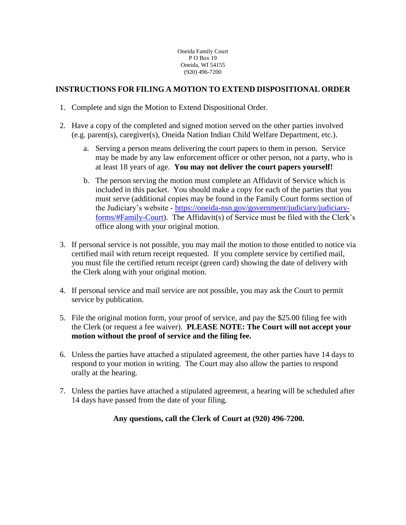Oneida Family Court P O Box 19 Oneida, WI 54155 (920) 496-7200

# **INSTRUCTIONS FOR FILING A MOTION TO EXTEND DISPOSITIONAL ORDER**

- 1. Complete and sign the Motion to Extend Dispositional Order.
- 2. Have a copy of the completed and signed motion served on the other parties involved (e.g. parent(s), caregiver(s), Oneida Nation Indian Child Welfare Department, etc.).
	- a. Serving a person means delivering the court papers to them in person. Service may be made by any law enforcement officer or other person, not a party, who is at least 18 years of age. **You may not deliver the court papers yourself!**
	- b. The person serving the motion must complete an Affidavit of Service which is included in this packet. You should make a copy for each of the parties that you must serve (additional copies may be found in the Family Court forms section of the Judiciary's website - [https://oneida-nsn.gov/government/judiciary/judiciary](https://oneida-nsn.gov/government/judiciary/judiciary-forms/#Family-Court)[forms/#Family-Court\)](https://oneida-nsn.gov/government/judiciary/judiciary-forms/#Family-Court). The Affidavit(s) of Service must be filed with the Clerk's office along with your original motion.
- 3. If personal service is not possible, you may mail the motion to those entitled to notice via certified mail with return receipt requested. If you complete service by certified mail, you must file the certified return receipt (green card) showing the date of delivery with the Clerk along with your original motion.
- 4. If personal service and mail service are not possible, you may ask the Court to permit service by publication.
- 5. File the original motion form, your proof of service, and pay the \$25.00 filing fee with the Clerk (or request a fee waiver). **PLEASE NOTE: The Court will not accept your motion without the proof of service and the filing fee.**
- 6. Unless the parties have attached a stipulated agreement, the other parties have 14 days to respond to your motion in writing. The Court may also allow the parties to respond orally at the hearing.
- 7. Unless the parties have attached a stipulated agreement, a hearing will be scheduled after 14 days have passed from the date of your filing.

# **Any questions, call the Clerk of Court at (920) 496-7200.**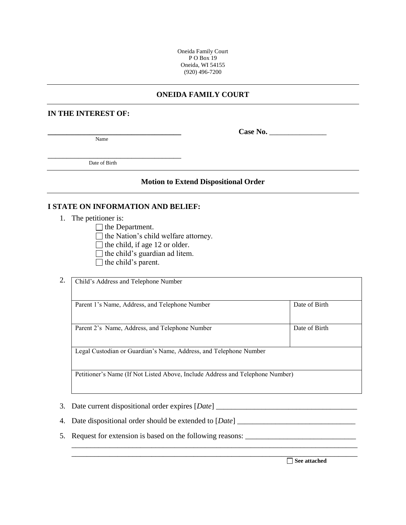Oneida Family Court PO Box 19 Oneida, WI 54155 (920) 496-7200

## **ONEIDA FAMILY COURT**

#### **IN THE INTEREST OF:**

Name

**\_\_\_\_\_\_\_\_\_\_\_\_\_\_\_\_\_\_\_\_\_\_\_\_\_\_\_\_\_\_\_\_\_\_\_ Case No.** \_\_\_\_\_\_\_\_\_\_\_\_\_\_\_

Date of Birth

\_\_\_\_\_\_\_\_\_\_\_\_\_\_\_\_\_\_\_\_\_\_\_\_\_\_\_\_\_\_\_\_\_\_\_

#### **Motion to Extend Dispositional Order**

### **I STATE ON INFORMATION AND BELIEF:**

- 1. The petitioner is:
	- $\Box$  the Department.
	- $\Box$  the Nation's child welfare attorney.
	- $\Box$  the child, if age 12 or older.
	- $\Box$  the child's guardian ad litem.
	- $\Box$  the child's parent.

|    | Child's Address and Telephone Number                                          |               |  |  |  |  |  |
|----|-------------------------------------------------------------------------------|---------------|--|--|--|--|--|
|    | Parent 1's Name, Address, and Telephone Number                                | Date of Birth |  |  |  |  |  |
|    | Parent 2's Name, Address, and Telephone Number                                | Date of Birth |  |  |  |  |  |
|    | Legal Custodian or Guardian's Name, Address, and Telephone Number             |               |  |  |  |  |  |
|    | Petitioner's Name (If Not Listed Above, Include Address and Telephone Number) |               |  |  |  |  |  |
|    |                                                                               |               |  |  |  |  |  |
| 3. | Date current dispositional order expires [Date] ___                           |               |  |  |  |  |  |
|    | 4. Date dispositional order should be extended to [Date]                      |               |  |  |  |  |  |

\_\_\_\_\_\_\_\_\_\_\_\_\_\_\_\_\_\_\_\_\_\_\_\_\_\_\_\_\_\_\_\_\_\_\_\_\_\_\_\_\_\_\_\_\_\_\_\_\_\_\_\_\_\_\_\_\_\_\_\_\_\_\_\_\_\_\_\_\_\_\_\_\_\_\_ \_\_\_\_\_\_\_\_\_\_\_\_\_\_\_\_\_\_\_\_\_\_\_\_\_\_\_\_\_\_\_\_\_\_\_\_\_\_\_\_\_\_\_\_\_\_\_\_\_\_\_\_\_\_\_\_\_\_\_\_\_\_\_\_\_\_\_\_\_\_\_\_\_\_\_

5. Request for extension is based on the following reasons: \_\_\_\_\_\_\_\_\_\_\_\_\_\_\_\_\_\_\_\_\_\_\_\_\_\_\_\_\_

**See attached**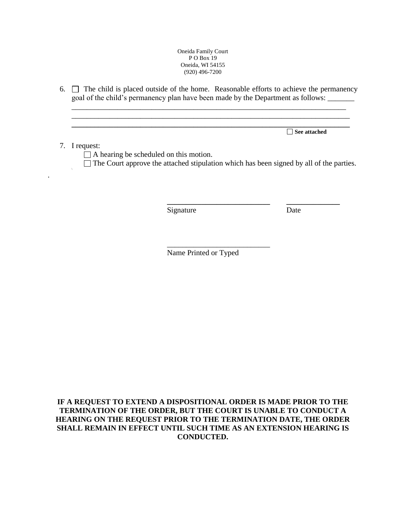#### Oneida Family Court P O Box 19 Oneida, WI 54155 (920) 496-7200

6.  $\Box$  The child is placed outside of the home. Reasonable efforts to achieve the permanency goal of the child's permanency plan have been made by the Department as follows: \_\_\_\_\_\_\_

\_\_\_\_\_\_\_\_\_\_\_\_\_\_\_\_\_\_\_\_\_\_\_\_\_\_\_\_\_\_\_\_\_\_\_\_\_\_\_\_\_\_\_\_\_\_\_\_\_\_\_\_\_\_\_\_\_\_\_\_\_\_\_\_\_\_\_\_\_\_\_\_ \_\_\_\_\_\_\_\_\_\_\_\_\_\_\_\_\_\_\_\_\_\_\_\_\_\_\_\_\_\_\_\_\_\_\_\_\_\_\_\_\_\_\_\_\_\_\_\_\_\_\_\_\_\_\_\_\_\_\_\_\_\_\_\_\_\_\_\_\_\_\_\_\_

**\_\_\_\_\_\_\_\_\_\_\_\_\_\_\_\_\_\_\_\_\_\_\_\_\_\_\_\_\_\_\_\_\_\_\_\_\_\_\_\_\_\_\_\_\_\_\_\_\_\_\_\_\_\_\_\_\_\_\_\_\_\_\_\_\_\_\_\_\_\_\_\_\_ See attached**

### 7. I request:

\

.

□ A hearing be scheduled on this motion.

 $\Box$  The Court approve the attached stipulation which has been signed by all of the parties.

**\_\_\_\_\_\_\_\_\_\_\_\_\_\_\_\_\_\_\_\_\_\_\_\_\_\_\_ \_\_\_\_\_\_\_\_\_\_\_\_\_\_**

Signature Date

Name Printed or Typed

\_\_\_\_\_\_\_\_\_\_\_\_\_\_\_\_\_\_\_\_\_\_\_\_\_\_\_

**IF A REQUEST TO EXTEND A DISPOSITIONAL ORDER IS MADE PRIOR TO THE TERMINATION OF THE ORDER, BUT THE COURT IS UNABLE TO CONDUCT A HEARING ON THE REQUEST PRIOR TO THE TERMINATION DATE, THE ORDER SHALL REMAIN IN EFFECT UNTIL SUCH TIME AS AN EXTENSION HEARING IS CONDUCTED.**